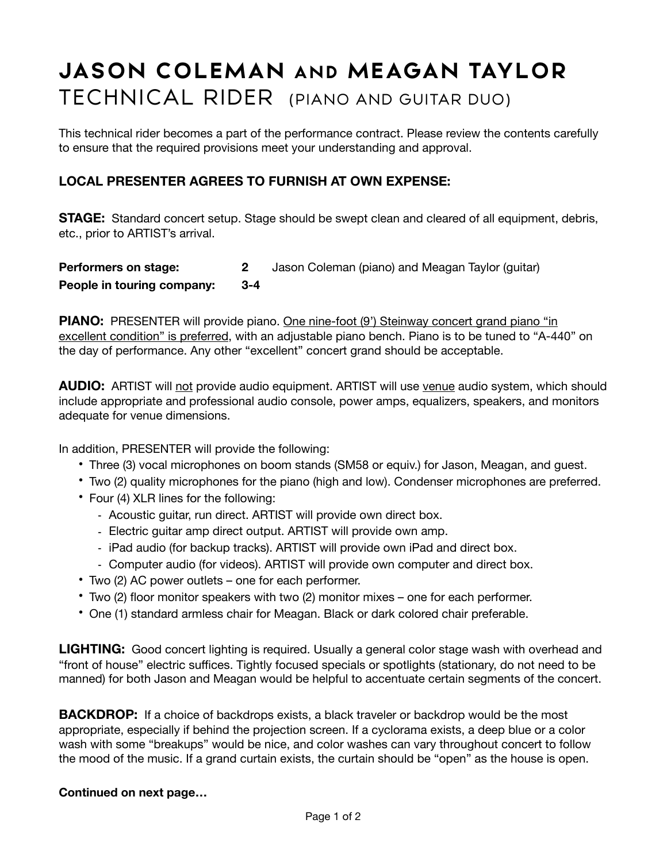## **JASON COLEMAN AND MEAGAN TAYLOR** TECHNICAL RIDER (PIANO AND GUITAR DUO)

This technical rider becomes a part of the performance contract. Please review the contents carefully to ensure that the required provisions meet your understanding and approval.

## **LOCAL PRESENTER AGREES TO FURNISH AT OWN EXPENSE:**

**STAGE:** Standard concert setup. Stage should be swept clean and cleared of all equipment, debris, etc., prior to ARTIST's arrival.

| Performers on stage:       | Jason Coleman (piano) and Meagan Taylor (guitar) |
|----------------------------|--------------------------------------------------|
| People in touring company: |                                                  |

**PIANO:** PRESENTER will provide piano. One nine-foot (9') Steinway concert grand piano "in excellent condition" is preferred, with an adjustable piano bench. Piano is to be tuned to "A-440" on the day of performance. Any other "excellent" concert grand should be acceptable.

**AUDIO:** ARTIST will not provide audio equipment. ARTIST will use venue audio system, which should include appropriate and professional audio console, power amps, equalizers, speakers, and monitors adequate for venue dimensions.

In addition, PRESENTER will provide the following:

- Three (3) vocal microphones on boom stands (SM58 or equiv.) for Jason, Meagan, and guest.
- Two (2) quality microphones for the piano (high and low). Condenser microphones are preferred.
- Four (4) XLR lines for the following:
	- Acoustic guitar, run direct. ARTIST will provide own direct box.
	- Electric guitar amp direct output. ARTIST will provide own amp.
	- iPad audio (for backup tracks). ARTIST will provide own iPad and direct box.
	- Computer audio (for videos). ARTIST will provide own computer and direct box.
- Two (2) AC power outlets one for each performer.
- Two (2) floor monitor speakers with two (2) monitor mixes one for each performer.
- One (1) standard armless chair for Meagan. Black or dark colored chair preferable.

**LIGHTING:** Good concert lighting is required. Usually a general color stage wash with overhead and "front of house" electric suffices. Tightly focused specials or spotlights (stationary, do not need to be manned) for both Jason and Meagan would be helpful to accentuate certain segments of the concert.

**BACKDROP:** If a choice of backdrops exists, a black traveler or backdrop would be the most appropriate, especially if behind the projection screen. If a cyclorama exists, a deep blue or a color wash with some "breakups" would be nice, and color washes can vary throughout concert to follow the mood of the music. If a grand curtain exists, the curtain should be "open" as the house is open.

## **Continued on next page…**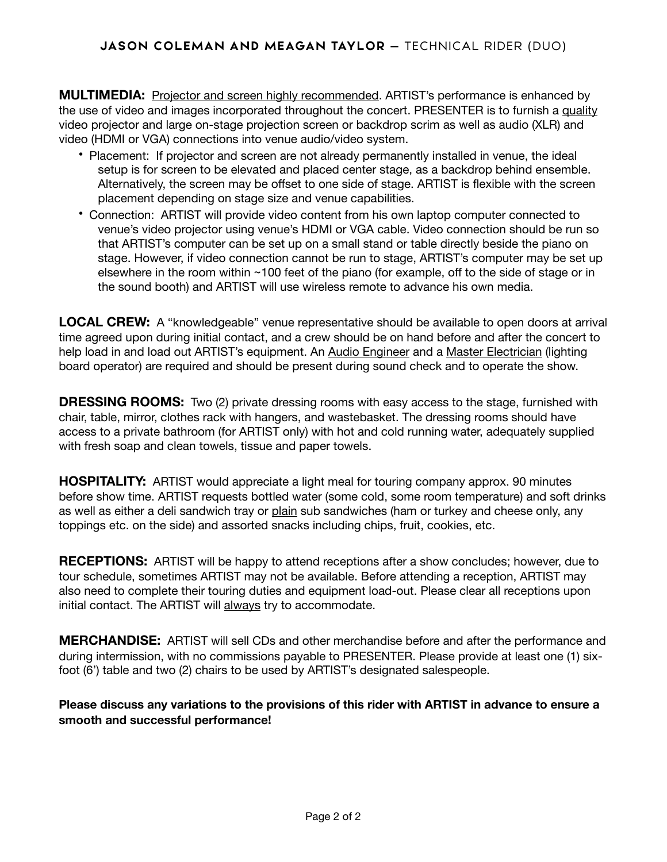**MULTIMEDIA:** Projector and screen highly recommended. ARTIST's performance is enhanced by the use of video and images incorporated throughout the concert. PRESENTER is to furnish a quality video projector and large on-stage projection screen or backdrop scrim as well as audio (XLR) and video (HDMI or VGA) connections into venue audio/video system.

- Placement: If projector and screen are not already permanently installed in venue, the ideal setup is for screen to be elevated and placed center stage, as a backdrop behind ensemble. Alternatively, the screen may be offset to one side of stage. ARTIST is flexible with the screen placement depending on stage size and venue capabilities.
- Connection: ARTIST will provide video content from his own laptop computer connected to venue's video projector using venue's HDMI or VGA cable. Video connection should be run so that ARTIST's computer can be set up on a small stand or table directly beside the piano on stage. However, if video connection cannot be run to stage, ARTIST's computer may be set up elsewhere in the room within ~100 feet of the piano (for example, off to the side of stage or in the sound booth) and ARTIST will use wireless remote to advance his own media.

**LOCAL CREW:** A "knowledgeable" venue representative should be available to open doors at arrival time agreed upon during initial contact, and a crew should be on hand before and after the concert to help load in and load out ARTIST's equipment. An Audio Engineer and a Master Electrician (lighting board operator) are required and should be present during sound check and to operate the show.

**DRESSING ROOMS:** Two (2) private dressing rooms with easy access to the stage, furnished with chair, table, mirror, clothes rack with hangers, and wastebasket. The dressing rooms should have access to a private bathroom (for ARTIST only) with hot and cold running water, adequately supplied with fresh soap and clean towels, tissue and paper towels.

**HOSPITALITY:** ARTIST would appreciate a light meal for touring company approx. 90 minutes before show time. ARTIST requests bottled water (some cold, some room temperature) and soft drinks as well as either a deli sandwich tray or plain sub sandwiches (ham or turkey and cheese only, any toppings etc. on the side) and assorted snacks including chips, fruit, cookies, etc.

**RECEPTIONS:** ARTIST will be happy to attend receptions after a show concludes; however, due to tour schedule, sometimes ARTIST may not be available. Before attending a reception, ARTIST may also need to complete their touring duties and equipment load-out. Please clear all receptions upon initial contact. The ARTIST will always try to accommodate.

**MERCHANDISE:** ARTIST will sell CDs and other merchandise before and after the performance and during intermission, with no commissions payable to PRESENTER. Please provide at least one (1) sixfoot (6') table and two (2) chairs to be used by ARTIST's designated salespeople.

**Please discuss any variations to the provisions of this rider with ARTIST in advance to ensure a smooth and successful performance!**